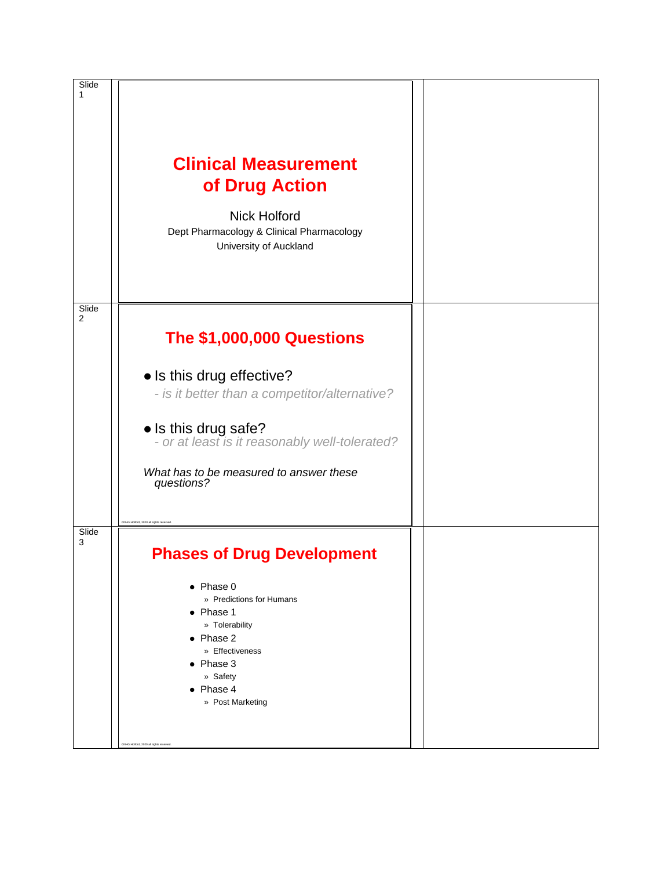| Slide<br>1              | <b>Clinical Measurement</b><br>of Drug Action<br><b>Nick Holford</b><br>Dept Pharmacology & Clinical Pharmacology<br>University of Auckland                                                                                                                                                |  |
|-------------------------|--------------------------------------------------------------------------------------------------------------------------------------------------------------------------------------------------------------------------------------------------------------------------------------------|--|
| Slide<br>$\overline{2}$ | <b>The \$1,000,000 Questions</b><br>• Is this drug effective?<br>- is it better than a competitor/alternative?<br>• Is this drug safe?<br>- or at least is it reasonably well-tolerated?<br>What has to be measured to answer these<br>questions?<br>CNHG Holford, 2020 all rights reserve |  |
| Slide<br>3              | <b>Phases of Drug Development</b><br>$\bullet$ Phase 0<br>» Predictions for Humans<br>$\bullet$ Phase 1<br>» Tolerability<br>$\bullet$ Phase 2<br>» Effectiveness<br>$\bullet$ Phase 3<br>» Safety<br>$\bullet$ Phase 4<br>» Post Marketing<br>CNHG Holford, 2020 all rights reserved      |  |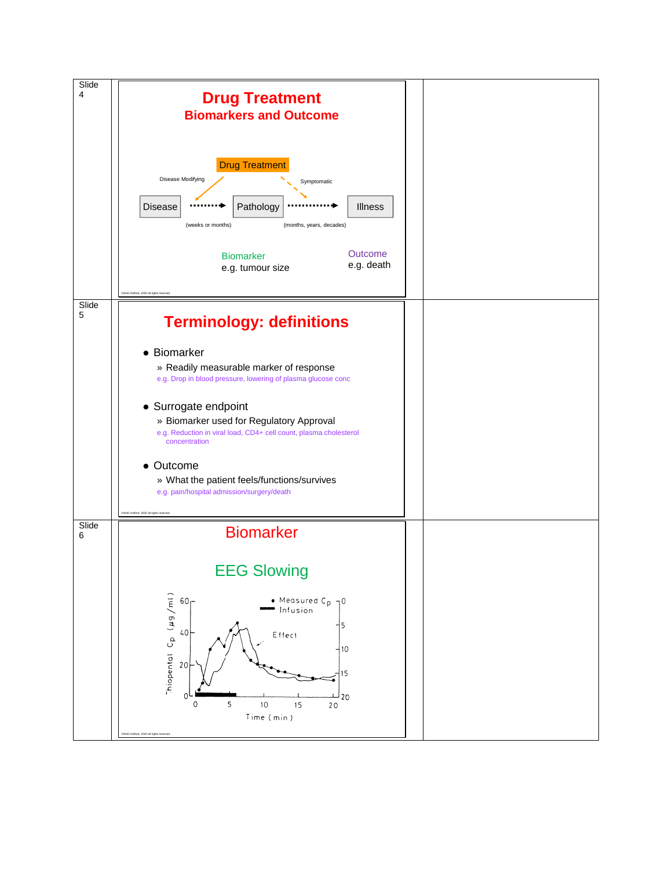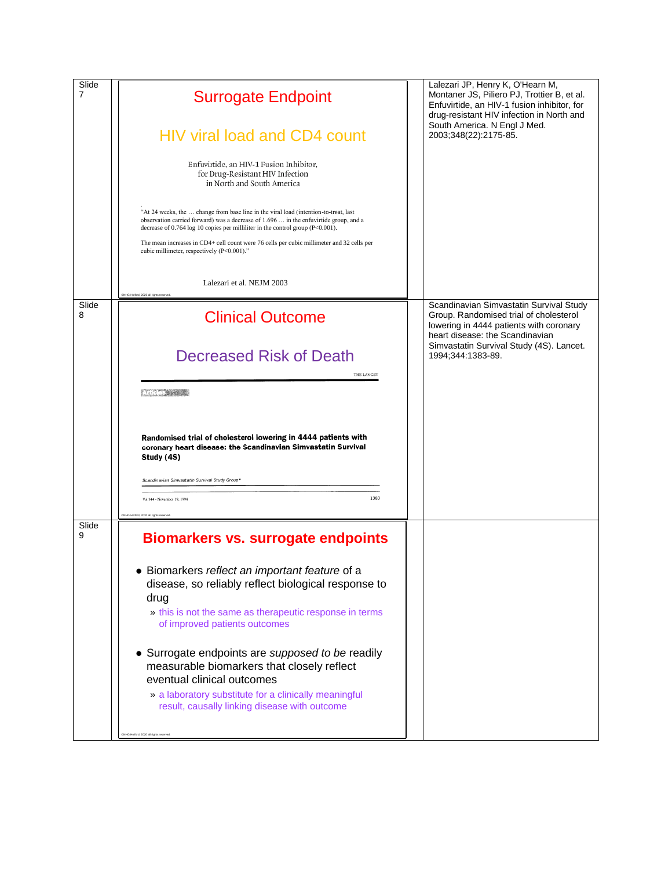| Slide<br>$\overline{7}$ | <b>Surrogate Endpoint</b><br><b>HIV viral load and CD4 count</b><br>Enfuvirtide, an HIV-1 Fusion Inhibitor,<br>for Drug-Resistant HIV Infection<br>in North and South America<br>"At 24 weeks, the  change from base line in the viral load (intention-to-treat, last<br>observation carried forward) was a decrease of $1.696$ in the enfuvirtide group, and a<br>decrease of 0.764 log 10 copies per milliliter in the control group (P<0.001).<br>The mean increases in CD4+ cell count were 76 cells per cubic millimeter and 32 cells per<br>cubic millimeter, respectively (P<0.001)." | Lalezari JP, Henry K, O'Hearn M,<br>Montaner JS, Piliero PJ, Trottier B, et al.<br>Enfuvirtide, an HIV-1 fusion inhibitor, for<br>drug-resistant HIV infection in North and<br>South America. N Engl J Med.<br>2003;348(22):2175-85. |
|-------------------------|----------------------------------------------------------------------------------------------------------------------------------------------------------------------------------------------------------------------------------------------------------------------------------------------------------------------------------------------------------------------------------------------------------------------------------------------------------------------------------------------------------------------------------------------------------------------------------------------|--------------------------------------------------------------------------------------------------------------------------------------------------------------------------------------------------------------------------------------|
|                         | Lalezari et al. NEJM 2003                                                                                                                                                                                                                                                                                                                                                                                                                                                                                                                                                                    |                                                                                                                                                                                                                                      |
| Slide<br>8              | <b>Clinical Outcome</b>                                                                                                                                                                                                                                                                                                                                                                                                                                                                                                                                                                      | Scandinavian Simvastatin Survival Study<br>Group. Randomised trial of cholesterol<br>lowering in 4444 patients with coronary<br>heart disease: the Scandinavian                                                                      |
|                         | Decreased Risk of Death<br>THE LANCET                                                                                                                                                                                                                                                                                                                                                                                                                                                                                                                                                        | Simvastatin Survival Study (4S). Lancet.<br>1994;344:1383-89.                                                                                                                                                                        |
|                         | THE STATE OF                                                                                                                                                                                                                                                                                                                                                                                                                                                                                                                                                                                 |                                                                                                                                                                                                                                      |
|                         | Randomised trial of cholesterol lowering in 4444 patients with<br>coronary heart disease: the Scandinavian Simvastatin Survival<br>Study (4S)                                                                                                                                                                                                                                                                                                                                                                                                                                                |                                                                                                                                                                                                                                      |
|                         | Scandinavian Simvastatin Survival Study Group*                                                                                                                                                                                                                                                                                                                                                                                                                                                                                                                                               |                                                                                                                                                                                                                                      |
|                         | 1383<br>Vol 344 · November 19, 1994                                                                                                                                                                                                                                                                                                                                                                                                                                                                                                                                                          |                                                                                                                                                                                                                                      |
| Slide<br>9              | <b>Biomarkers vs. surrogate endpoints</b>                                                                                                                                                                                                                                                                                                                                                                                                                                                                                                                                                    |                                                                                                                                                                                                                                      |
|                         | • Biomarkers reflect an important feature of a<br>disease, so reliably reflect biological response to<br>drug<br>» this is not the same as therapeutic response in terms<br>of improved patients outcomes                                                                                                                                                                                                                                                                                                                                                                                    |                                                                                                                                                                                                                                      |
|                         | • Surrogate endpoints are supposed to be readily<br>measurable biomarkers that closely reflect<br>eventual clinical outcomes<br>» a laboratory substitute for a clinically meaningful<br>result, causally linking disease with outcome                                                                                                                                                                                                                                                                                                                                                       |                                                                                                                                                                                                                                      |
|                         | CNHG Holford, 2020 all rights reserv                                                                                                                                                                                                                                                                                                                                                                                                                                                                                                                                                         |                                                                                                                                                                                                                                      |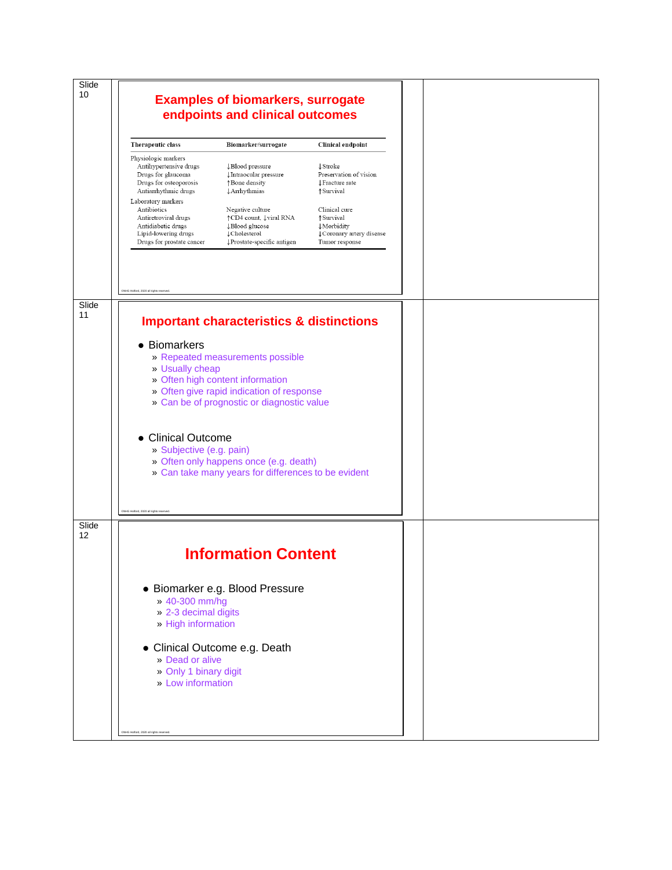| 10<br><b>Examples of biomarkers, surrogate</b><br>endpoints and clinical outcomes                                                                                                                                                                                                                                                                    |  |
|------------------------------------------------------------------------------------------------------------------------------------------------------------------------------------------------------------------------------------------------------------------------------------------------------------------------------------------------------|--|
|                                                                                                                                                                                                                                                                                                                                                      |  |
|                                                                                                                                                                                                                                                                                                                                                      |  |
|                                                                                                                                                                                                                                                                                                                                                      |  |
| Therapeutic class<br><b>Clinical endpoint</b><br>Biomarker/surrogate                                                                                                                                                                                                                                                                                 |  |
| Physiologic markers<br>Antihypertensive drugs<br>↓Blood pressure<br><b>J</b> Stroke<br>Drugs for glaucoma<br>↓Intraocular pressure<br>Preservation of vision<br>Drugs for osteoporosis<br>↑Bone density<br>↓ Fracture rate<br>Antiarrhythmic drugs<br><b>Arrhythmias</b><br>↑ Survival                                                               |  |
| Laboratory markers<br>Clinical cure<br>Antibiotics<br>Negative culture<br>↑CD4 count, ↓viral RNA<br>↑Survival<br>Antiretroviral drugs<br>Antidiabetic drugs<br>↓Blood glucose<br><b>\Morbidity</b><br>Lipid-lowering drugs<br>↓Cholesterol<br>↓ Coronary artery disease<br>Drugs for prostate cancer<br>↓Prostate-specific antigen<br>Tumor response |  |
| CNHG Holford, 2020 all rights reserved<br>Slide<br>11                                                                                                                                                                                                                                                                                                |  |
| <b>Important characteristics &amp; distinctions</b>                                                                                                                                                                                                                                                                                                  |  |
| • Biomarkers<br>» Repeated measurements possible<br>» Usually cheap<br>» Often high content information<br>» Often give rapid indication of response<br>» Can be of prognostic or diagnostic value                                                                                                                                                   |  |
| • Clinical Outcome<br>» Subjective (e.g. pain)<br>» Often only happens once (e.g. death)<br>» Can take many years for differences to be evident                                                                                                                                                                                                      |  |
| CNHG Holford, 2020 all rights re                                                                                                                                                                                                                                                                                                                     |  |
| Slide<br>12<br><b>Information Content</b>                                                                                                                                                                                                                                                                                                            |  |
| · Biomarker e.g. Blood Pressure<br>» 40-300 mm/hg<br>> 2-3 decimal digits<br>» High information<br>• Clinical Outcome e.g. Death<br>» Dead or alive<br>» Only 1 binary digit<br>» Low information                                                                                                                                                    |  |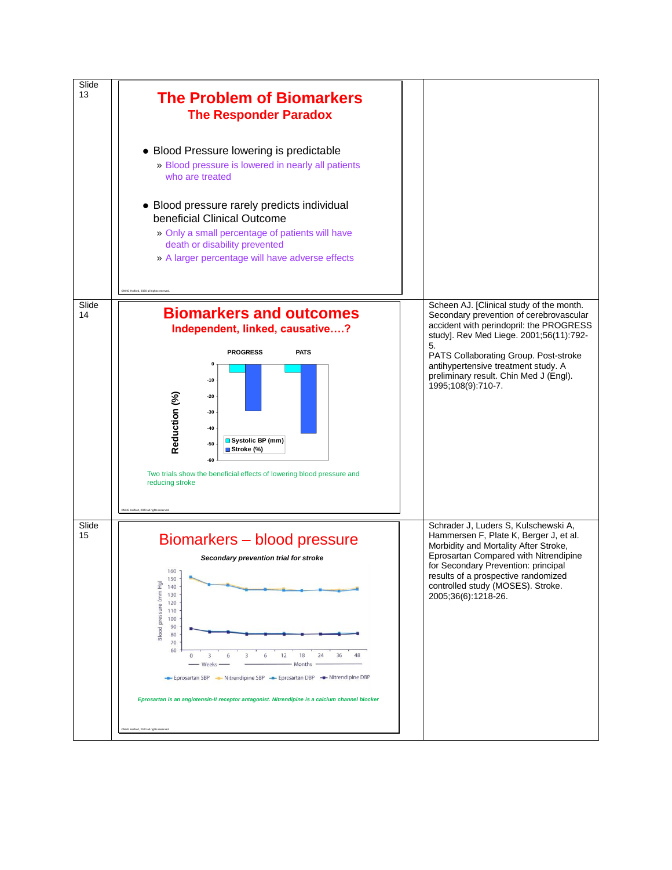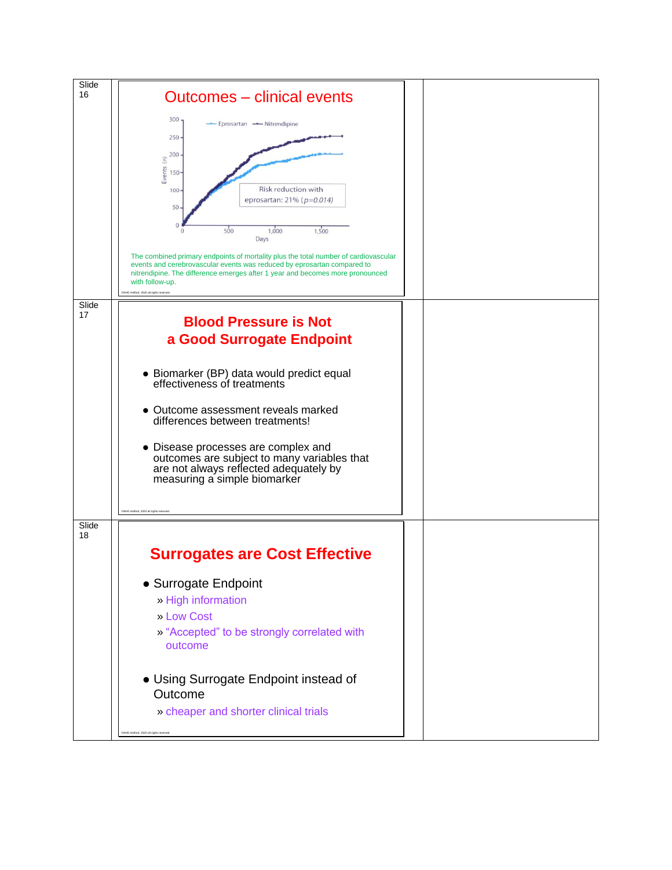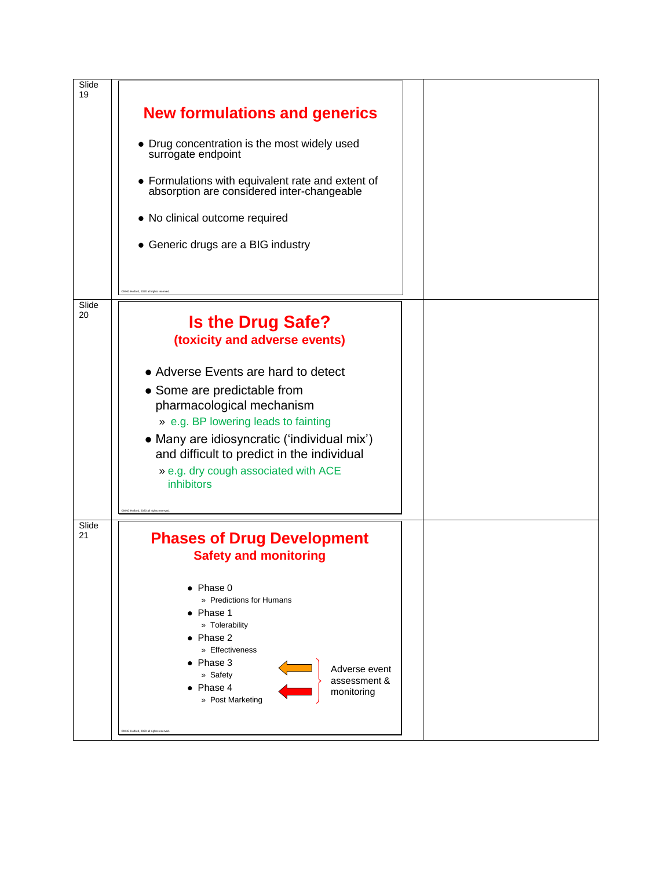| Slide<br>19 |                                                                                              |  |
|-------------|----------------------------------------------------------------------------------------------|--|
|             | <b>New formulations and generics</b>                                                         |  |
|             | • Drug concentration is the most widely used<br>surrogate endpoint                           |  |
|             | • Formulations with equivalent rate and extent of absorption are considered inter-changeable |  |
|             | • No clinical outcome required                                                               |  |
|             | • Generic drugs are a BIG industry                                                           |  |
|             | CNHG Holford, 2020 all rights reserver                                                       |  |
| Slide<br>20 | <b>Is the Drug Safe?</b>                                                                     |  |
|             | (toxicity and adverse events)                                                                |  |
|             |                                                                                              |  |
|             | • Adverse Events are hard to detect                                                          |  |
|             | • Some are predictable from                                                                  |  |
|             | pharmacological mechanism                                                                    |  |
|             | » e.g. BP lowering leads to fainting                                                         |  |
|             | • Many are idiosyncratic ('individual mix')                                                  |  |
|             | and difficult to predict in the individual                                                   |  |
|             | » e.g. dry cough associated with ACE                                                         |  |
|             | inhibitors                                                                                   |  |
|             |                                                                                              |  |
|             | NHG Holford, 2020 all rights reserver                                                        |  |
| Slide<br>21 |                                                                                              |  |
|             | <b>Phases of Drug Development</b>                                                            |  |
|             | <b>Safety and monitoring</b>                                                                 |  |
|             |                                                                                              |  |
|             | $\bullet$ Phase 0<br>» Predictions for Humans                                                |  |
|             | $\bullet$ Phase 1                                                                            |  |
|             | » Tolerability                                                                               |  |
|             | $\bullet$ Phase 2<br>» Effectiveness                                                         |  |
|             | Phase 3                                                                                      |  |
|             | Adverse event<br>» Safety<br>assessment &                                                    |  |
|             | Phase 4<br>monitoring                                                                        |  |
|             | » Post Marketing                                                                             |  |
|             | CNHG Holford, 2020 all rights reserver                                                       |  |
|             |                                                                                              |  |